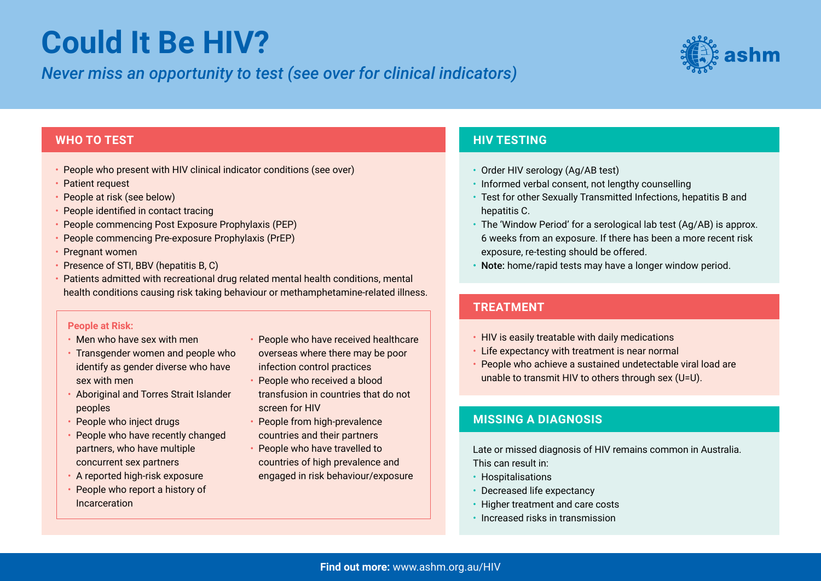# **Could It Be HIV?**

## *Never miss an opportunity to test (see over for clinical indicators)*



#### **WHO TO TEST**

- People who present with HIV clinical indicator conditions (see over)
- Patient request
- People at risk (see below)
- People identified in contact tracing
- People commencing Post Exposure Prophylaxis (PEP)
- People commencing Pre-exposure Prophylaxis (PrEP)
- Pregnant women
- Presence of STI, BBV (hepatitis B, C)
- Patients admitted with recreational drug related mental health conditions, mental health conditions causing risk taking behaviour or methamphetamine-related illness.

#### **People at Risk:**

- Men who have sex with men
- Transgender women and people who identify as gender diverse who have sex with men
- Aboriginal and Torres Strait Islander peoples
- People who inject drugs
- People who have recently changed partners, who have multiple concurrent sex partners
- A reported high-risk exposure
- People who report a history of Incarceration
- People who have received healthcare
- overseas where there may be poor infection control practices
- People who received a blood
- transfusion in countries that do not screen for HIV
- People from high-prevalence
- countries and their partners
- People who have travelled to countries of high prevalence and engaged in risk behaviour/exposure

## **HIV TESTING**

- Order HIV serology (Ag/AB test)
- Informed verbal consent, not lengthy counselling
- Test for other Sexually Transmitted Infections, hepatitis B and hepatitis C.
- The 'Window Period' for a serological lab test (Ag/AB) is approx. 6 weeks from an exposure. If there has been a more recent risk exposure, re-testing should be offered.
- Note: home/rapid tests may have a longer window period.

### **TREATMENT**

- HIV is easily treatable with daily medications
- Life expectancy with treatment is near normal
- People who achieve a sustained undetectable viral load are unable to transmit HIV to others through sex (U=U).

### **MISSING A DIAGNOSIS**

Late or missed diagnosis of HIV remains common in Australia. This can result in:

- Hospitalisations
- Decreased life expectancy
- Higher treatment and care costs
- Increased risks in transmission